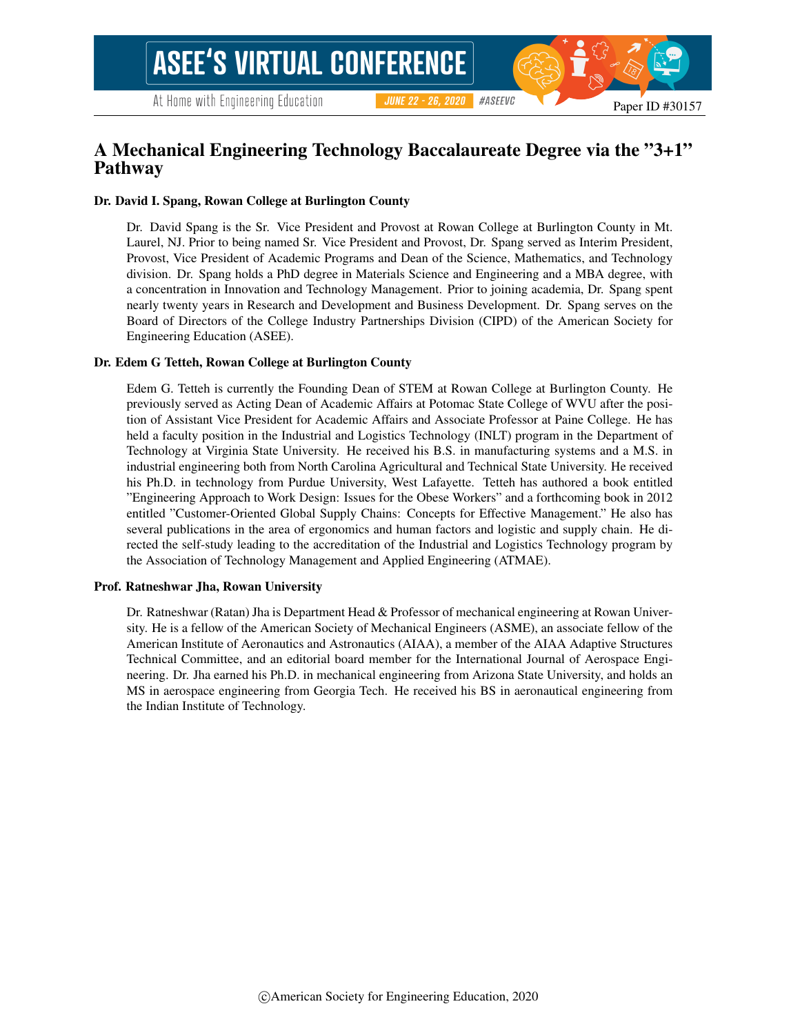#### #ASEEVC **JUNE 22 - 26, 2020**

### A Mechanical Engineering Technology Baccalaureate Degree via the "3+1" Pathway

#### Dr. David I. Spang, Rowan College at Burlington County

Dr. David Spang is the Sr. Vice President and Provost at Rowan College at Burlington County in Mt. Laurel, NJ. Prior to being named Sr. Vice President and Provost, Dr. Spang served as Interim President, Provost, Vice President of Academic Programs and Dean of the Science, Mathematics, and Technology division. Dr. Spang holds a PhD degree in Materials Science and Engineering and a MBA degree, with a concentration in Innovation and Technology Management. Prior to joining academia, Dr. Spang spent nearly twenty years in Research and Development and Business Development. Dr. Spang serves on the Board of Directors of the College Industry Partnerships Division (CIPD) of the American Society for Engineering Education (ASEE).

#### Dr. Edem G Tetteh, Rowan College at Burlington County

Edem G. Tetteh is currently the Founding Dean of STEM at Rowan College at Burlington County. He previously served as Acting Dean of Academic Affairs at Potomac State College of WVU after the position of Assistant Vice President for Academic Affairs and Associate Professor at Paine College. He has held a faculty position in the Industrial and Logistics Technology (INLT) program in the Department of Technology at Virginia State University. He received his B.S. in manufacturing systems and a M.S. in industrial engineering both from North Carolina Agricultural and Technical State University. He received his Ph.D. in technology from Purdue University, West Lafayette. Tetteh has authored a book entitled "Engineering Approach to Work Design: Issues for the Obese Workers" and a forthcoming book in 2012 entitled "Customer-Oriented Global Supply Chains: Concepts for Effective Management." He also has several publications in the area of ergonomics and human factors and logistic and supply chain. He directed the self-study leading to the accreditation of the Industrial and Logistics Technology program by the Association of Technology Management and Applied Engineering (ATMAE).

#### Prof. Ratneshwar Jha, Rowan University

Dr. Ratneshwar (Ratan) Jha is Department Head & Professor of mechanical engineering at Rowan University. He is a fellow of the American Society of Mechanical Engineers (ASME), an associate fellow of the American Institute of Aeronautics and Astronautics (AIAA), a member of the AIAA Adaptive Structures Technical Committee, and an editorial board member for the International Journal of Aerospace Engineering. Dr. Jha earned his Ph.D. in mechanical engineering from Arizona State University, and holds an MS in aerospace engineering from Georgia Tech. He received his BS in aeronautical engineering from the Indian Institute of Technology.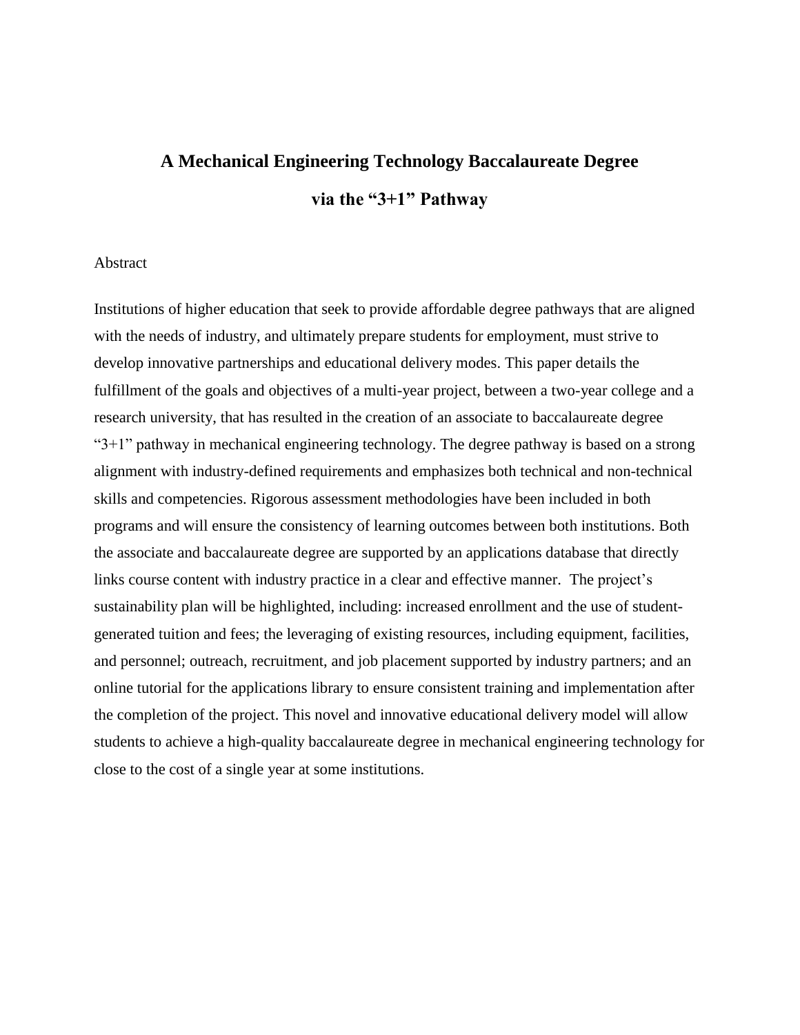# **A Mechanical Engineering Technology Baccalaureate Degree via the "3+1" Pathway**

#### Abstract

Institutions of higher education that seek to provide affordable degree pathways that are aligned with the needs of industry, and ultimately prepare students for employment, must strive to develop innovative partnerships and educational delivery modes. This paper details the fulfillment of the goals and objectives of a multi-year project, between a two-year college and a research university, that has resulted in the creation of an associate to baccalaureate degree " $3+1$ " pathway in mechanical engineering technology. The degree pathway is based on a strong alignment with industry-defined requirements and emphasizes both technical and non-technical skills and competencies. Rigorous assessment methodologies have been included in both programs and will ensure the consistency of learning outcomes between both institutions. Both the associate and baccalaureate degree are supported by an applications database that directly links course content with industry practice in a clear and effective manner. The project's sustainability plan will be highlighted, including: increased enrollment and the use of studentgenerated tuition and fees; the leveraging of existing resources, including equipment, facilities, and personnel; outreach, recruitment, and job placement supported by industry partners; and an online tutorial for the applications library to ensure consistent training and implementation after the completion of the project. This novel and innovative educational delivery model will allow students to achieve a high-quality baccalaureate degree in mechanical engineering technology for close to the cost of a single year at some institutions.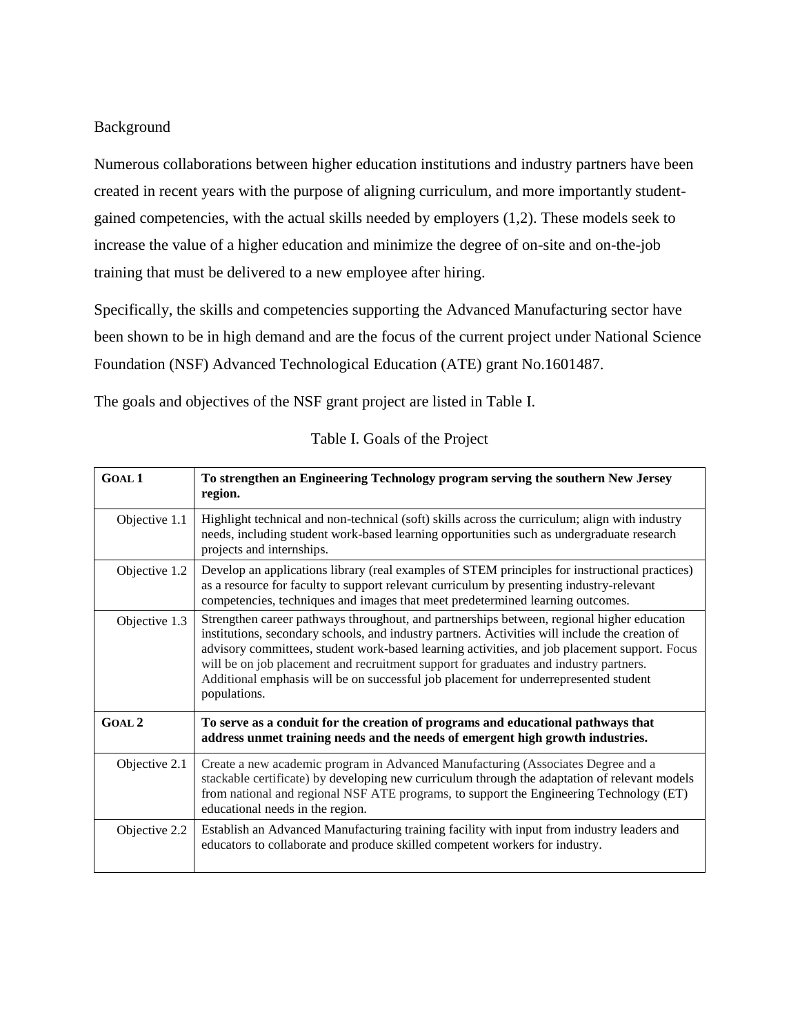#### Background

Numerous collaborations between higher education institutions and industry partners have been created in recent years with the purpose of aligning curriculum, and more importantly studentgained competencies, with the actual skills needed by employers (1,2). These models seek to increase the value of a higher education and minimize the degree of on-site and on-the-job training that must be delivered to a new employee after hiring.

Specifically, the skills and competencies supporting the Advanced Manufacturing sector have been shown to be in high demand and are the focus of the current project under National Science Foundation (NSF) Advanced Technological Education (ATE) grant No.1601487.

The goals and objectives of the NSF grant project are listed in Table I.

| <b>GOAL 1</b> | To strengthen an Engineering Technology program serving the southern New Jersey<br>region.                                                                                                                                                                                                                                                                                                                                                                                                      |
|---------------|-------------------------------------------------------------------------------------------------------------------------------------------------------------------------------------------------------------------------------------------------------------------------------------------------------------------------------------------------------------------------------------------------------------------------------------------------------------------------------------------------|
| Objective 1.1 | Highlight technical and non-technical (soft) skills across the curriculum; align with industry<br>needs, including student work-based learning opportunities such as undergraduate research<br>projects and internships.                                                                                                                                                                                                                                                                        |
| Objective 1.2 | Develop an applications library (real examples of STEM principles for instructional practices)<br>as a resource for faculty to support relevant curriculum by presenting industry-relevant<br>competencies, techniques and images that meet predetermined learning outcomes.                                                                                                                                                                                                                    |
| Objective 1.3 | Strengthen career pathways throughout, and partnerships between, regional higher education<br>institutions, secondary schools, and industry partners. Activities will include the creation of<br>advisory committees, student work-based learning activities, and job placement support. Focus<br>will be on job placement and recruitment support for graduates and industry partners.<br>Additional emphasis will be on successful job placement for underrepresented student<br>populations. |
| <b>GOAL 2</b> | To serve as a conduit for the creation of programs and educational pathways that<br>address unmet training needs and the needs of emergent high growth industries.                                                                                                                                                                                                                                                                                                                              |
| Objective 2.1 | Create a new academic program in Advanced Manufacturing (Associates Degree and a<br>stackable certificate) by developing new curriculum through the adaptation of relevant models<br>from national and regional NSF ATE programs, to support the Engineering Technology (ET)<br>educational needs in the region.                                                                                                                                                                                |
| Objective 2.2 | Establish an Advanced Manufacturing training facility with input from industry leaders and<br>educators to collaborate and produce skilled competent workers for industry.                                                                                                                                                                                                                                                                                                                      |

#### Table I. Goals of the Project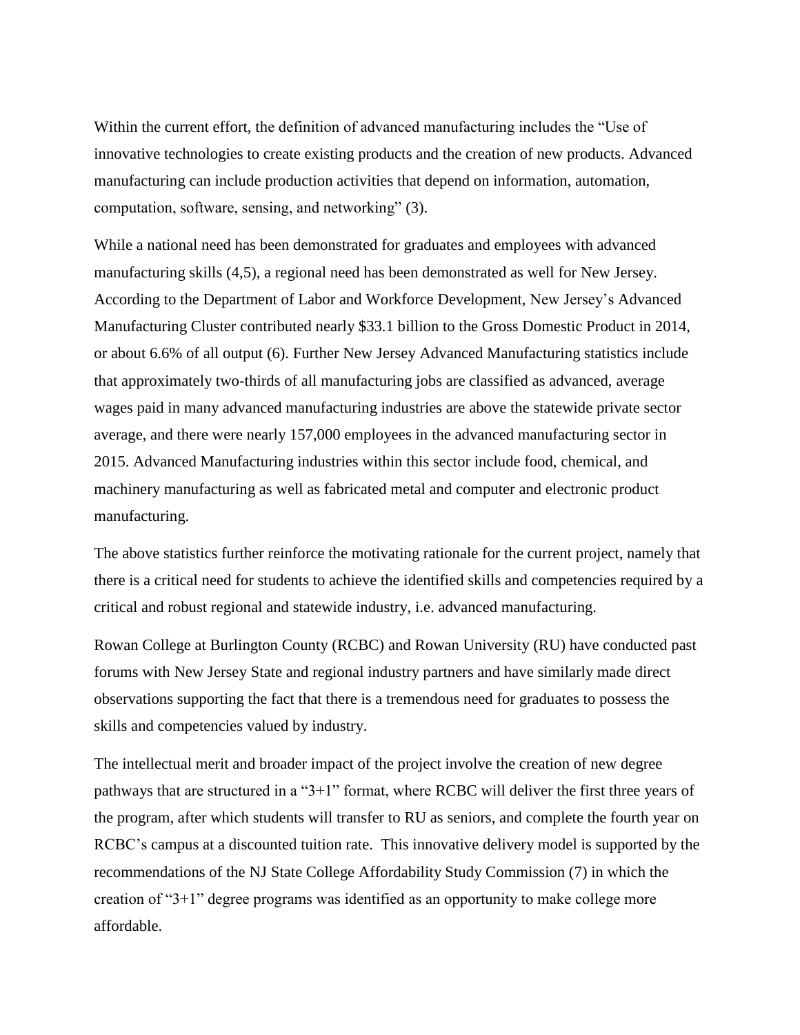Within the current effort, the definition of advanced manufacturing includes the "Use of innovative technologies to create existing products and the creation of new products. Advanced manufacturing can include production activities that depend on information, automation, computation, software, sensing, and networking" (3).

While a national need has been demonstrated for graduates and employees with advanced manufacturing skills (4,5), a regional need has been demonstrated as well for New Jersey. According to the Department of Labor and Workforce Development, New Jersey's Advanced Manufacturing Cluster contributed nearly \$33.1 billion to the Gross Domestic Product in 2014, or about 6.6% of all output (6). Further New Jersey Advanced Manufacturing statistics include that approximately two-thirds of all manufacturing jobs are classified as advanced, average wages paid in many advanced manufacturing industries are above the statewide private sector average, and there were nearly 157,000 employees in the advanced manufacturing sector in 2015. Advanced Manufacturing industries within this sector include food, chemical, and machinery manufacturing as well as fabricated metal and computer and electronic product manufacturing.

The above statistics further reinforce the motivating rationale for the current project, namely that there is a critical need for students to achieve the identified skills and competencies required by a critical and robust regional and statewide industry, i.e. advanced manufacturing.

Rowan College at Burlington County (RCBC) and Rowan University (RU) have conducted past forums with New Jersey State and regional industry partners and have similarly made direct observations supporting the fact that there is a tremendous need for graduates to possess the skills and competencies valued by industry.

The intellectual merit and broader impact of the project involve the creation of new degree pathways that are structured in a "3+1" format, where RCBC will deliver the first three years of the program, after which students will transfer to RU as seniors, and complete the fourth year on RCBC's campus at a discounted tuition rate. This innovative delivery model is supported by the recommendations of the NJ State College Affordability Study Commission (7) in which the creation of "3+1" degree programs was identified as an opportunity to make college more affordable.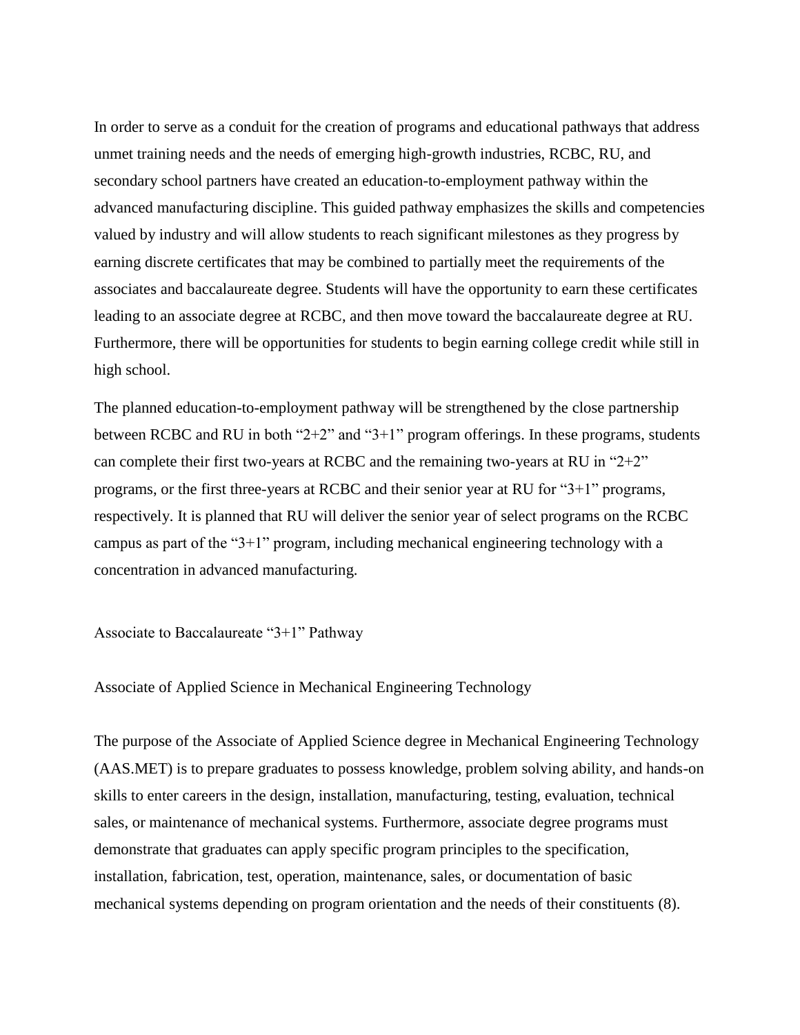In order to serve as a conduit for the creation of programs and educational pathways that address unmet training needs and the needs of emerging high-growth industries, RCBC, RU, and secondary school partners have created an education-to-employment pathway within the advanced manufacturing discipline. This guided pathway emphasizes the skills and competencies valued by industry and will allow students to reach significant milestones as they progress by earning discrete certificates that may be combined to partially meet the requirements of the associates and baccalaureate degree. Students will have the opportunity to earn these certificates leading to an associate degree at RCBC, and then move toward the baccalaureate degree at RU. Furthermore, there will be opportunities for students to begin earning college credit while still in high school.

The planned education-to-employment pathway will be strengthened by the close partnership between RCBC and RU in both "2+2" and "3+1" program offerings. In these programs, students can complete their first two-years at RCBC and the remaining two-years at RU in " $2+2$ " programs, or the first three-years at RCBC and their senior year at RU for "3+1" programs, respectively. It is planned that RU will deliver the senior year of select programs on the RCBC campus as part of the "3+1" program, including mechanical engineering technology with a concentration in advanced manufacturing.

Associate to Baccalaureate "3+1" Pathway

Associate of Applied Science in Mechanical Engineering Technology

The purpose of the Associate of Applied Science degree in Mechanical Engineering Technology (AAS.MET) is to prepare graduates to possess knowledge, problem solving ability, and hands-on skills to enter careers in the design, installation, manufacturing, testing, evaluation, technical sales, or maintenance of mechanical systems. Furthermore, associate degree programs must demonstrate that graduates can apply specific program principles to the specification, installation, fabrication, test, operation, maintenance, sales, or documentation of basic mechanical systems depending on program orientation and the needs of their constituents (8).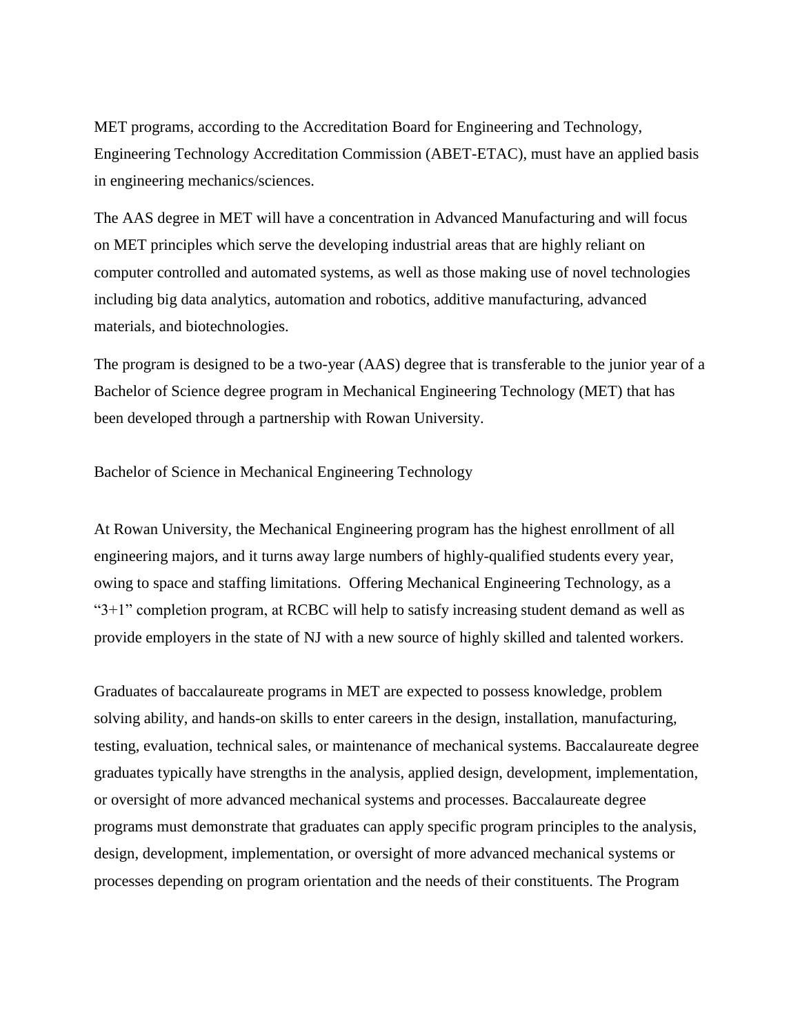MET programs, according to the Accreditation Board for Engineering and Technology, Engineering Technology Accreditation Commission (ABET-ETAC), must have an applied basis in engineering mechanics/sciences.

The AAS degree in MET will have a concentration in Advanced Manufacturing and will focus on MET principles which serve the developing industrial areas that are highly reliant on computer controlled and automated systems, as well as those making use of novel technologies including big data analytics, automation and robotics, additive manufacturing, advanced materials, and biotechnologies.

The program is designed to be a two-year (AAS) degree that is transferable to the junior year of a Bachelor of Science degree program in Mechanical Engineering Technology (MET) that has been developed through a partnership with Rowan University.

Bachelor of Science in Mechanical Engineering Technology

At Rowan University, the Mechanical Engineering program has the highest enrollment of all engineering majors, and it turns away large numbers of highly-qualified students every year, owing to space and staffing limitations. Offering Mechanical Engineering Technology, as a "3+1" completion program, at RCBC will help to satisfy increasing student demand as well as provide employers in the state of NJ with a new source of highly skilled and talented workers.

Graduates of baccalaureate programs in MET are expected to possess knowledge, problem solving ability, and hands-on skills to enter careers in the design, installation, manufacturing, testing, evaluation, technical sales, or maintenance of mechanical systems. Baccalaureate degree graduates typically have strengths in the analysis, applied design, development, implementation, or oversight of more advanced mechanical systems and processes. Baccalaureate degree programs must demonstrate that graduates can apply specific program principles to the analysis, design, development, implementation, or oversight of more advanced mechanical systems or processes depending on program orientation and the needs of their constituents. The Program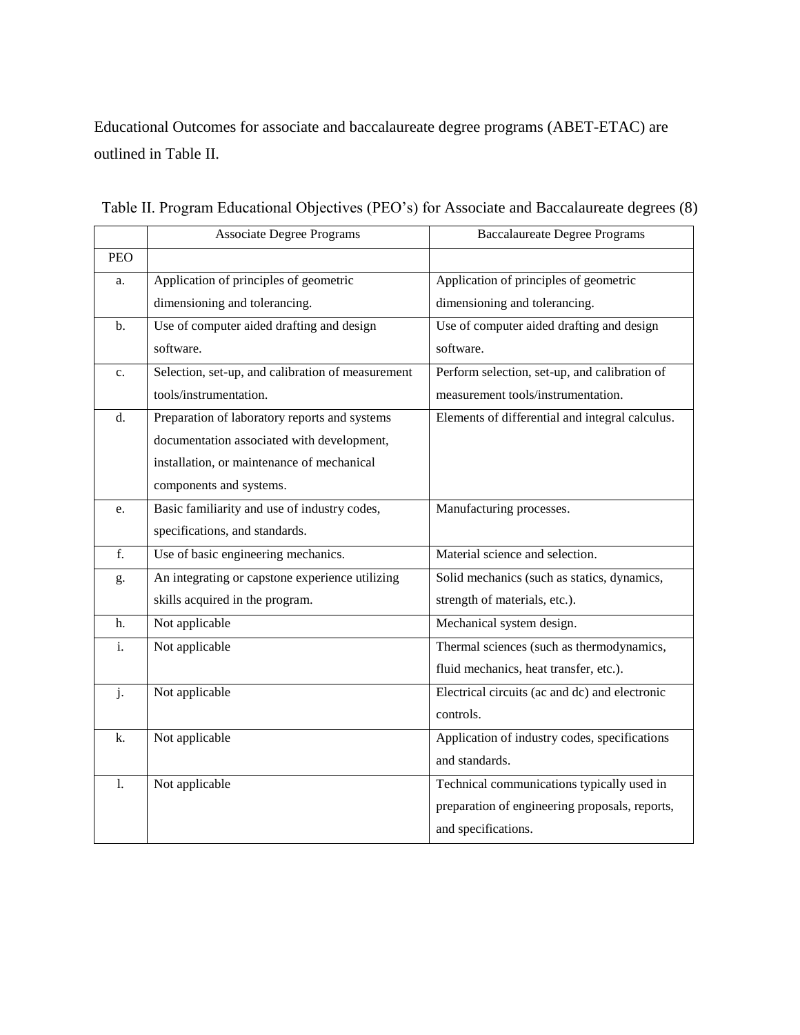Educational Outcomes for associate and baccalaureate degree programs (ABET-ETAC) are outlined in Table II.

|            | <b>Associate Degree Programs</b>                  | <b>Baccalaureate Degree Programs</b>            |
|------------|---------------------------------------------------|-------------------------------------------------|
| <b>PEO</b> |                                                   |                                                 |
| a.         | Application of principles of geometric            | Application of principles of geometric          |
|            | dimensioning and tolerancing.                     | dimensioning and tolerancing.                   |
| b.         | Use of computer aided drafting and design         | Use of computer aided drafting and design       |
|            | software.                                         | software.                                       |
| c.         | Selection, set-up, and calibration of measurement | Perform selection, set-up, and calibration of   |
|            | tools/instrumentation.                            | measurement tools/instrumentation.              |
| d.         | Preparation of laboratory reports and systems     | Elements of differential and integral calculus. |
|            | documentation associated with development,        |                                                 |
|            | installation, or maintenance of mechanical        |                                                 |
|            | components and systems.                           |                                                 |
| e.         | Basic familiarity and use of industry codes,      | Manufacturing processes.                        |
|            | specifications, and standards.                    |                                                 |
| f.         | Use of basic engineering mechanics.               | Material science and selection.                 |
| g.         | An integrating or capstone experience utilizing   | Solid mechanics (such as statics, dynamics,     |
|            | skills acquired in the program.                   | strength of materials, etc.).                   |
| h.         | Not applicable                                    | Mechanical system design.                       |
| i.         | Not applicable                                    | Thermal sciences (such as thermodynamics,       |
|            |                                                   | fluid mechanics, heat transfer, etc.).          |
| j.         | Not applicable                                    | Electrical circuits (ac and dc) and electronic  |
|            |                                                   | controls.                                       |
| k.         | Not applicable                                    | Application of industry codes, specifications   |
|            |                                                   | and standards.                                  |
| 1.         | Not applicable                                    | Technical communications typically used in      |
|            |                                                   | preparation of engineering proposals, reports,  |
|            |                                                   | and specifications.                             |

Table II. Program Educational Objectives (PEO's) for Associate and Baccalaureate degrees (8)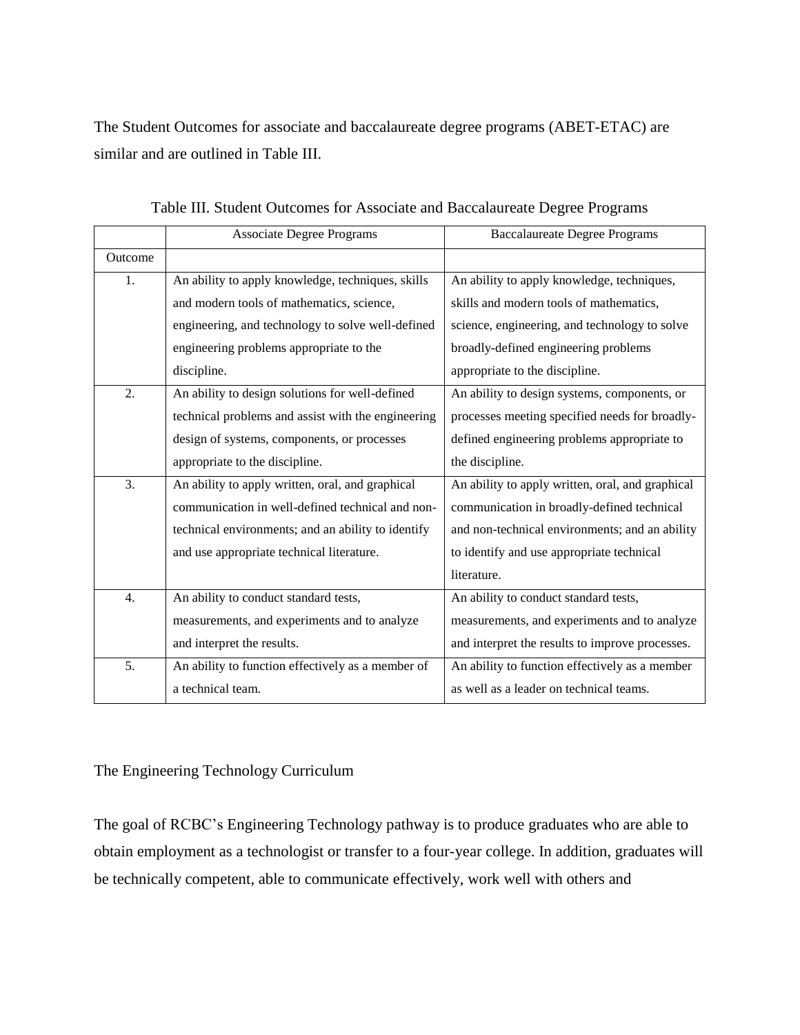The Student Outcomes for associate and baccalaureate degree programs (ABET-ETAC) are similar and are outlined in Table III.

|                  | <b>Associate Degree Programs</b>                   | <b>Baccalaureate Degree Programs</b>             |
|------------------|----------------------------------------------------|--------------------------------------------------|
| Outcome          |                                                    |                                                  |
| 1.               | An ability to apply knowledge, techniques, skills  | An ability to apply knowledge, techniques,       |
|                  | and modern tools of mathematics, science,          | skills and modern tools of mathematics,          |
|                  | engineering, and technology to solve well-defined  | science, engineering, and technology to solve    |
|                  | engineering problems appropriate to the            | broadly-defined engineering problems             |
|                  | discipline.                                        | appropriate to the discipline.                   |
| 2.               | An ability to design solutions for well-defined    | An ability to design systems, components, or     |
|                  | technical problems and assist with the engineering | processes meeting specified needs for broadly-   |
|                  | design of systems, components, or processes        | defined engineering problems appropriate to      |
|                  | appropriate to the discipline.                     | the discipline.                                  |
| 3.               | An ability to apply written, oral, and graphical   | An ability to apply written, oral, and graphical |
|                  | communication in well-defined technical and non-   | communication in broadly-defined technical       |
|                  | technical environments; and an ability to identify | and non-technical environments; and an ability   |
|                  | and use appropriate technical literature.          | to identify and use appropriate technical        |
|                  |                                                    | literature.                                      |
| $\overline{4}$ . | An ability to conduct standard tests,              | An ability to conduct standard tests,            |
|                  | measurements, and experiments and to analyze       | measurements, and experiments and to analyze     |
|                  | and interpret the results.                         | and interpret the results to improve processes.  |
| 5.               | An ability to function effectively as a member of  | An ability to function effectively as a member   |
|                  | a technical team.                                  | as well as a leader on technical teams.          |

|  | Table III. Student Outcomes for Associate and Baccalaureate Degree Programs |  |  |  |  |
|--|-----------------------------------------------------------------------------|--|--|--|--|
|  |                                                                             |  |  |  |  |

The Engineering Technology Curriculum

The goal of RCBC's Engineering Technology pathway is to produce graduates who are able to obtain employment as a technologist or transfer to a four-year college. In addition, graduates will be technically competent, able to communicate effectively, work well with others and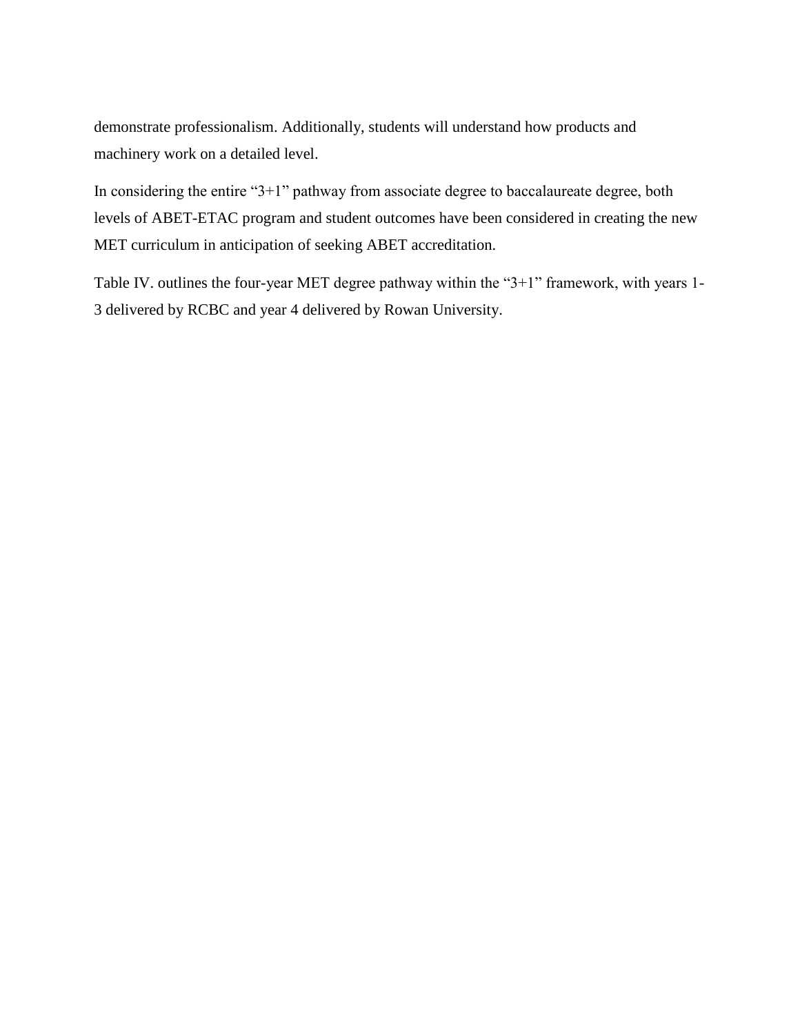demonstrate professionalism. Additionally, students will understand how products and machinery work on a detailed level.

In considering the entire "3+1" pathway from associate degree to baccalaureate degree, both levels of ABET-ETAC program and student outcomes have been considered in creating the new MET curriculum in anticipation of seeking ABET accreditation.

Table IV. outlines the four-year MET degree pathway within the "3+1" framework, with years 1- 3 delivered by RCBC and year 4 delivered by Rowan University.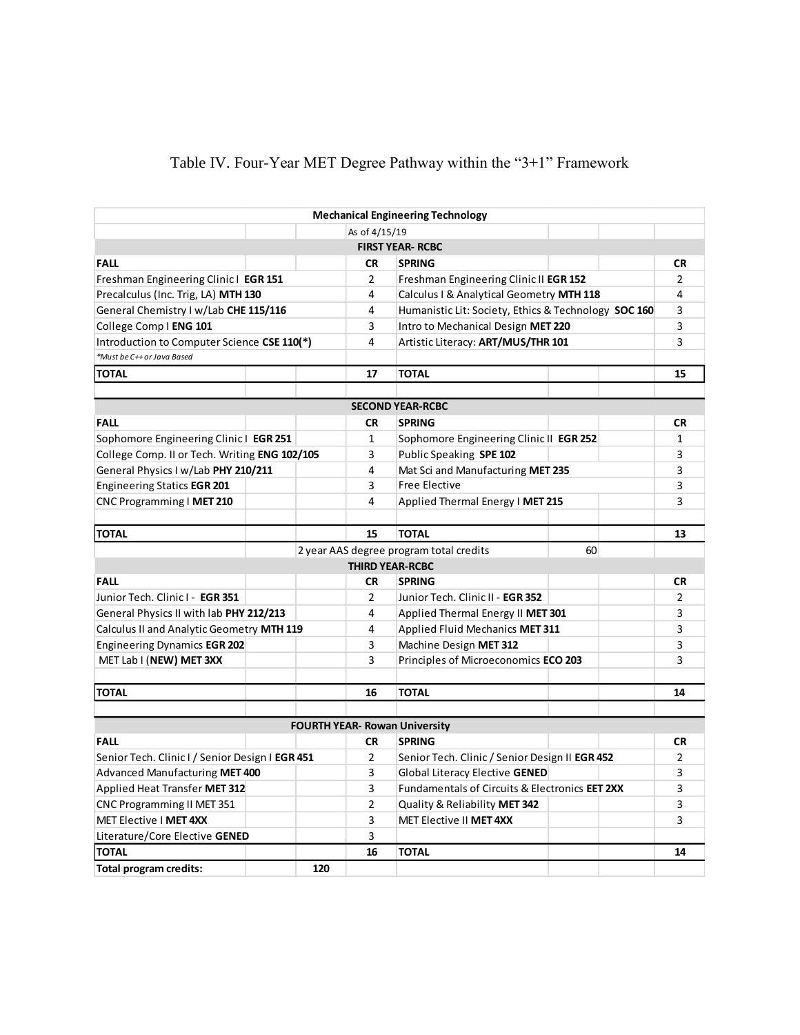## Table IV. Four-Year MET Degree Pathway within the "3+1" Framework

|                                                 |               |     |                                | <b>Mechanical Engineering Technology</b>             |                                    |  |                |
|-------------------------------------------------|---------------|-----|--------------------------------|------------------------------------------------------|------------------------------------|--|----------------|
|                                                 | As of 4/15/19 |     |                                |                                                      |                                    |  |                |
|                                                 |               |     |                                | <b>FIRST YEAR- RCBC</b>                              |                                    |  |                |
| <b>FALL</b>                                     |               |     | <b>CR</b>                      | <b>SPRING</b>                                        |                                    |  | <b>CR</b>      |
| Freshman Engineering Clinic   EGR 151           |               |     | 2                              | Freshman Engineering Clinic II EGR 152               |                                    |  | $\overline{2}$ |
| Precalculus (Inc. Trig, LA) MTH 130             |               |     | 4                              | Calculus I & Analytical Geometry MTH 118             |                                    |  | 4              |
| General Chemistry I w/Lab CHE 115/116           |               |     | 4                              | Humanistic Lit: Society, Ethics & Technology SOC 160 |                                    |  | 3              |
| College Comp   ENG 101                          |               |     | 3                              | Intro to Mechanical Design MET 220                   |                                    |  | 3              |
| Introduction to Computer Science CSE 110(*)     |               |     | 4                              |                                                      | Artistic Literacy: ART/MUS/THR 101 |  |                |
| *Must be C++ or Java Based                      |               |     |                                |                                                      |                                    |  |                |
| <b>TOTAL</b>                                    |               |     | 17                             | <b>TOTAL</b>                                         |                                    |  | 15             |
|                                                 |               |     |                                |                                                      |                                    |  |                |
|                                                 |               |     |                                | <b>SECOND YEAR-RCBC</b>                              |                                    |  |                |
| <b>FALL</b>                                     |               |     | <b>CR</b>                      | <b>SPRING</b>                                        |                                    |  | <b>CR</b>      |
| Sophomore Engineering Clinic   EGR 251          |               |     | $\mathbf{1}$                   | Sophomore Engineering Clinic II EGR 252              |                                    |  | $\mathbf{1}$   |
| College Comp. II or Tech. Writing ENG 102/105   |               |     | 3                              | Public Speaking SPE 102                              |                                    |  | 3              |
| General Physics I w/Lab PHY 210/211             |               |     | 4                              | Mat Sci and Manufacturing MET 235                    |                                    |  | 3              |
| <b>Engineering Statics EGR 201</b>              |               |     | 3                              | <b>Free Elective</b>                                 |                                    |  | 3              |
| CNC Programming I MET 210                       |               |     | 4                              | Applied Thermal Energy   MET 215                     |                                    |  | 3              |
|                                                 |               |     |                                |                                                      |                                    |  |                |
| <b>TOTAL</b>                                    |               |     | 15                             | <b>TOTAL</b>                                         |                                    |  | 13             |
|                                                 |               |     |                                | 2 year AAS degree program total credits              | 60                                 |  |                |
|                                                 |               |     | <b>THIRD YEAR-RCBC</b>         |                                                      |                                    |  |                |
| <b>FALL</b>                                     |               |     | <b>CR</b>                      | <b>SPRING</b>                                        |                                    |  | <b>CR</b>      |
| Junior Tech. Clinic I - EGR 351                 |               |     | $\overline{2}$                 | Junior Tech. Clinic II - EGR 352                     |                                    |  | $\overline{2}$ |
| General Physics II with lab PHY 212/213         |               |     | 4                              | Applied Thermal Energy II MET 301                    |                                    |  | 3              |
| Calculus II and Analytic Geometry MTH 119       |               |     | 4                              | Applied Fluid Mechanics MET 311                      |                                    |  | 3              |
| Engineering Dynamics EGR 202                    |               |     | 3                              | Machine Design MET 312                               |                                    |  | 3              |
| MET Lab I (NEW) MET 3XX                         |               |     | 3                              | Principles of Microeconomics ECO 203                 |                                    |  | 3              |
|                                                 |               |     |                                |                                                      |                                    |  |                |
| <b>TOTAL</b>                                    |               |     | 16                             | <b>TOTAL</b>                                         |                                    |  | 14             |
|                                                 |               |     |                                |                                                      |                                    |  |                |
|                                                 |               |     |                                | <b>FOURTH YEAR- Rowan University</b>                 |                                    |  |                |
| <b>FALL</b>                                     |               |     | <b>CR</b>                      | <b>SPRING</b>                                        |                                    |  | <b>CR</b>      |
| Senior Tech. Clinic I / Senior Design I EGR 451 |               |     | $\overline{2}$                 | Senior Tech. Clinic / Senior Design II EGR 452       |                                    |  | $\overline{2}$ |
| Advanced Manufacturing MET 400                  |               | 3   | Global Literacy Elective GENED |                                                      | 3                                  |  |                |
| Applied Heat Transfer MET 312                   |               |     | 3                              | Fundamentals of Circuits & Electronics EET 2XX       |                                    |  | 3              |
| CNC Programming II MET 351                      |               |     | $\overline{2}$                 | Quality & Reliability MET 342                        |                                    |  | 3              |
| MET Elective I MET 4XX                          |               |     | 3                              | MET Elective II MET 4XX                              |                                    |  | 3              |
| 3<br>Literature/Core Elective GENED             |               |     |                                |                                                      |                                    |  |                |
| 16<br><b>TOTAL</b><br><b>TOTAL</b><br>14        |               |     |                                |                                                      |                                    |  |                |
| <b>Total program credits:</b>                   |               | 120 |                                |                                                      |                                    |  |                |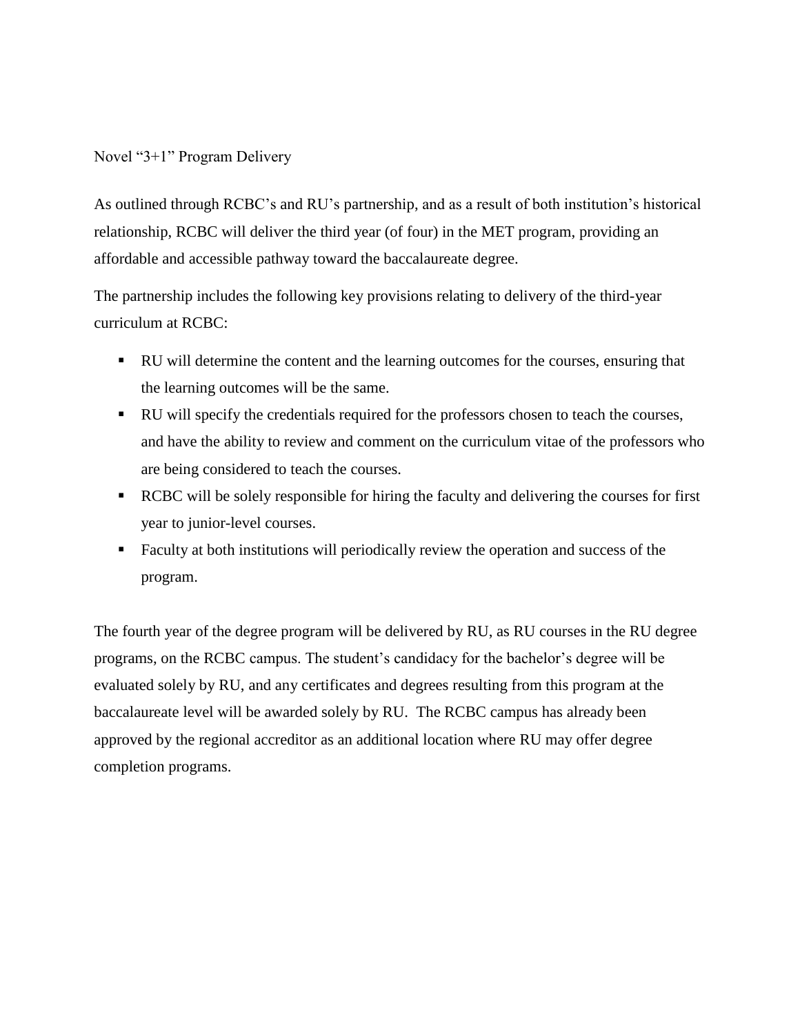### Novel "3+1" Program Delivery

As outlined through RCBC's and RU's partnership, and as a result of both institution's historical relationship, RCBC will deliver the third year (of four) in the MET program, providing an affordable and accessible pathway toward the baccalaureate degree.

The partnership includes the following key provisions relating to delivery of the third-year curriculum at RCBC:

- RU will determine the content and the learning outcomes for the courses, ensuring that the learning outcomes will be the same.
- RU will specify the credentials required for the professors chosen to teach the courses, and have the ability to review and comment on the curriculum vitae of the professors who are being considered to teach the courses.
- RCBC will be solely responsible for hiring the faculty and delivering the courses for first year to junior-level courses.
- Faculty at both institutions will periodically review the operation and success of the program.

The fourth year of the degree program will be delivered by RU, as RU courses in the RU degree programs, on the RCBC campus. The student's candidacy for the bachelor's degree will be evaluated solely by RU, and any certificates and degrees resulting from this program at the baccalaureate level will be awarded solely by RU. The RCBC campus has already been approved by the regional accreditor as an additional location where RU may offer degree completion programs.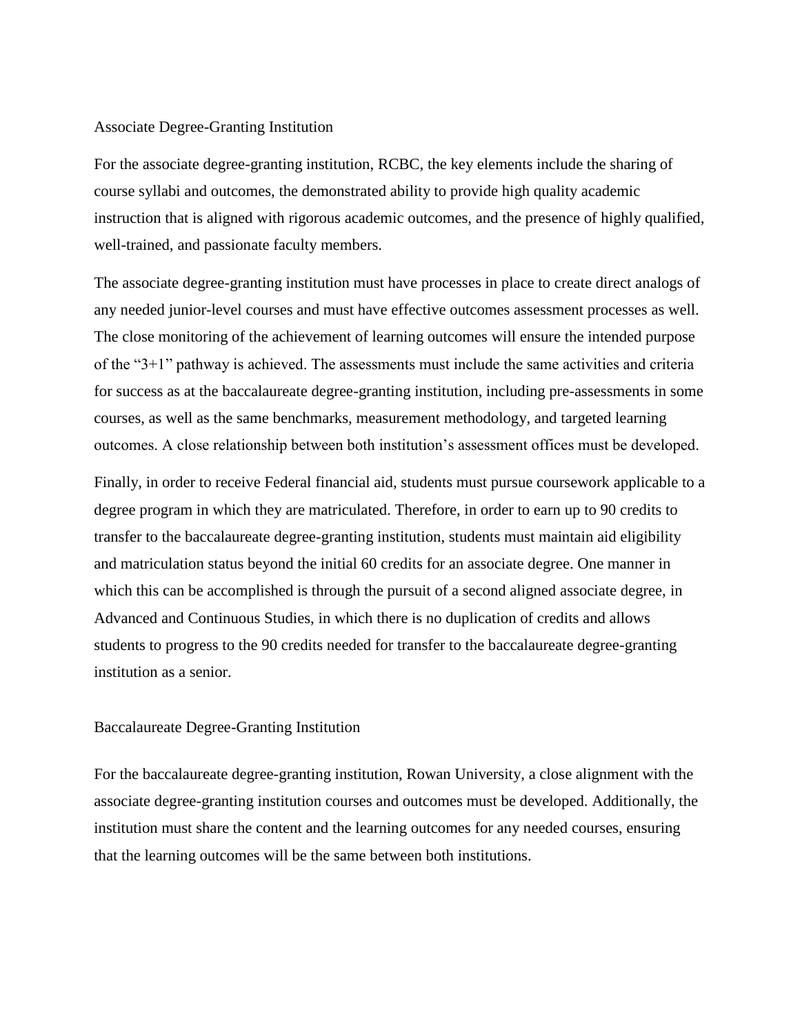#### Associate Degree-Granting Institution

For the associate degree-granting institution, RCBC, the key elements include the sharing of course syllabi and outcomes, the demonstrated ability to provide high quality academic instruction that is aligned with rigorous academic outcomes, and the presence of highly qualified, well-trained, and passionate faculty members.

The associate degree-granting institution must have processes in place to create direct analogs of any needed junior-level courses and must have effective outcomes assessment processes as well. The close monitoring of the achievement of learning outcomes will ensure the intended purpose of the "3+1" pathway is achieved. The assessments must include the same activities and criteria for success as at the baccalaureate degree-granting institution, including pre-assessments in some courses, as well as the same benchmarks, measurement methodology, and targeted learning outcomes. A close relationship between both institution's assessment offices must be developed.

Finally, in order to receive Federal financial aid, students must pursue coursework applicable to a degree program in which they are matriculated. Therefore, in order to earn up to 90 credits to transfer to the baccalaureate degree-granting institution, students must maintain aid eligibility and matriculation status beyond the initial 60 credits for an associate degree. One manner in which this can be accomplished is through the pursuit of a second aligned associate degree, in Advanced and Continuous Studies, in which there is no duplication of credits and allows students to progress to the 90 credits needed for transfer to the baccalaureate degree-granting institution as a senior.

#### Baccalaureate Degree-Granting Institution

For the baccalaureate degree-granting institution, Rowan University, a close alignment with the associate degree-granting institution courses and outcomes must be developed. Additionally, the institution must share the content and the learning outcomes for any needed courses, ensuring that the learning outcomes will be the same between both institutions.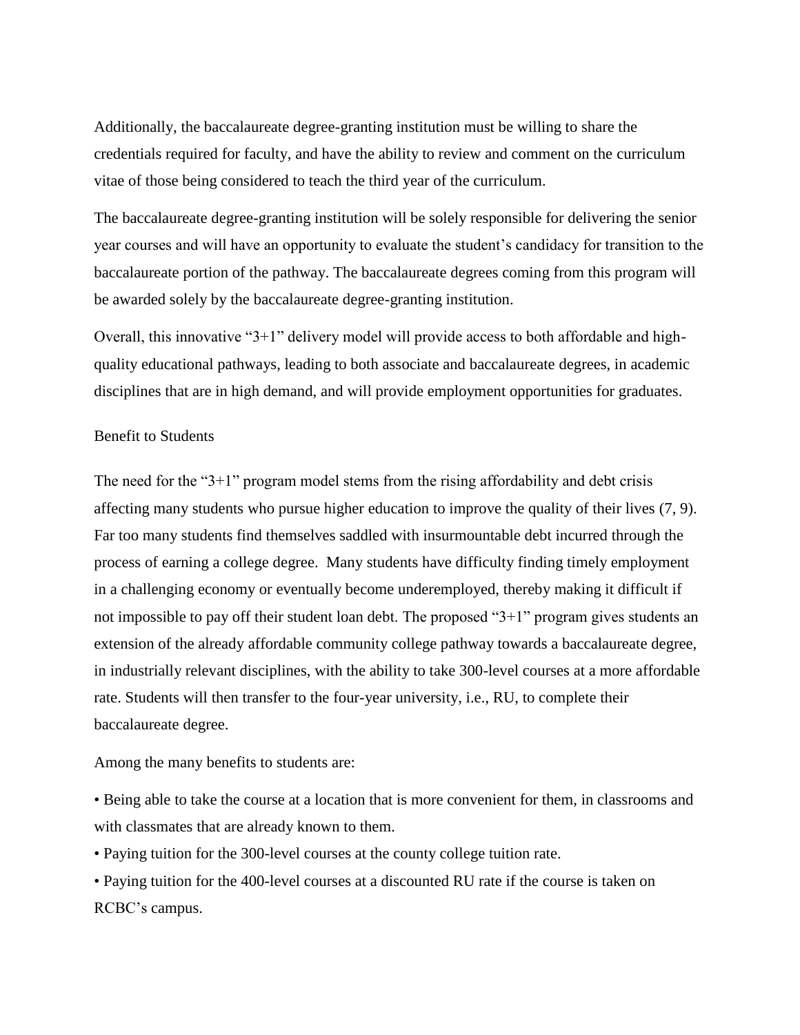Additionally, the baccalaureate degree-granting institution must be willing to share the credentials required for faculty, and have the ability to review and comment on the curriculum vitae of those being considered to teach the third year of the curriculum.

The baccalaureate degree-granting institution will be solely responsible for delivering the senior year courses and will have an opportunity to evaluate the student's candidacy for transition to the baccalaureate portion of the pathway. The baccalaureate degrees coming from this program will be awarded solely by the baccalaureate degree-granting institution.

Overall, this innovative "3+1" delivery model will provide access to both affordable and highquality educational pathways, leading to both associate and baccalaureate degrees, in academic disciplines that are in high demand, and will provide employment opportunities for graduates.

#### Benefit to Students

The need for the " $3+1$ " program model stems from the rising affordability and debt crisis affecting many students who pursue higher education to improve the quality of their lives (7, 9). Far too many students find themselves saddled with insurmountable debt incurred through the process of earning a college degree. Many students have difficulty finding timely employment in a challenging economy or eventually become underemployed, thereby making it difficult if not impossible to pay off their student loan debt. The proposed "3+1" program gives students an extension of the already affordable community college pathway towards a baccalaureate degree, in industrially relevant disciplines, with the ability to take 300-level courses at a more affordable rate. Students will then transfer to the four-year university, i.e., RU, to complete their baccalaureate degree.

Among the many benefits to students are:

• Being able to take the course at a location that is more convenient for them, in classrooms and with classmates that are already known to them.

• Paying tuition for the 300-level courses at the county college tuition rate.

• Paying tuition for the 400-level courses at a discounted RU rate if the course is taken on RCBC's campus.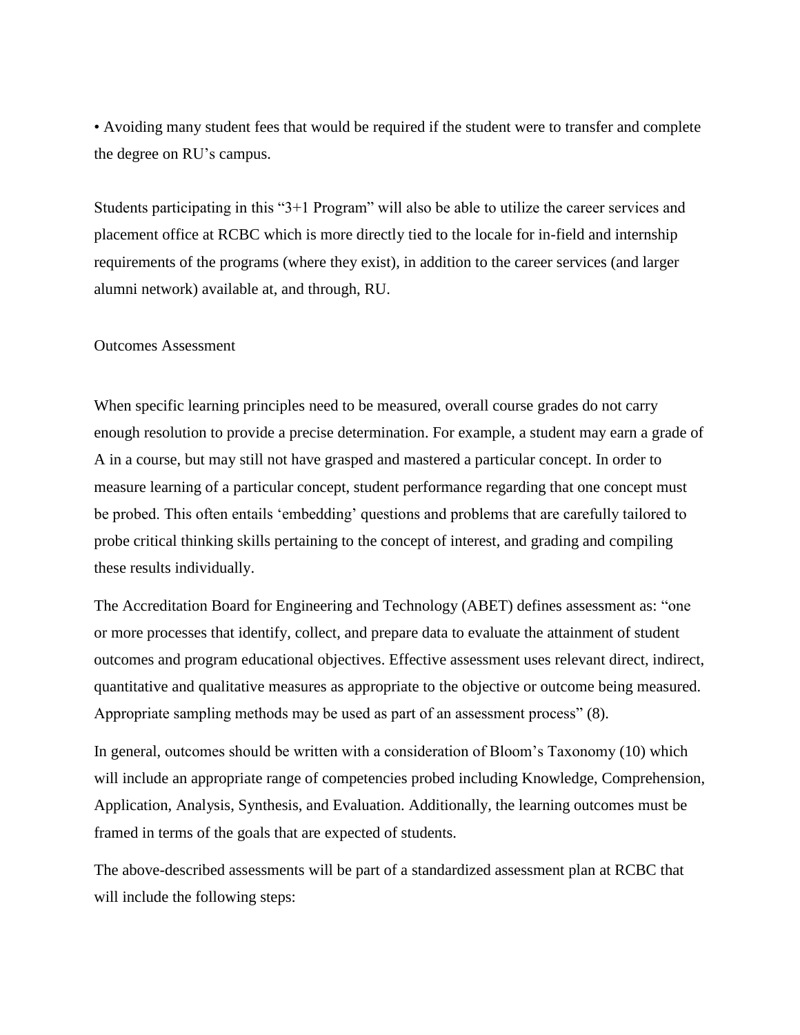• Avoiding many student fees that would be required if the student were to transfer and complete the degree on RU's campus.

Students participating in this "3+1 Program" will also be able to utilize the career services and placement office at RCBC which is more directly tied to the locale for in-field and internship requirements of the programs (where they exist), in addition to the career services (and larger alumni network) available at, and through, RU.

#### Outcomes Assessment

When specific learning principles need to be measured, overall course grades do not carry enough resolution to provide a precise determination. For example, a student may earn a grade of A in a course, but may still not have grasped and mastered a particular concept. In order to measure learning of a particular concept, student performance regarding that one concept must be probed. This often entails 'embedding' questions and problems that are carefully tailored to probe critical thinking skills pertaining to the concept of interest, and grading and compiling these results individually.

The Accreditation Board for Engineering and Technology (ABET) defines assessment as: "one or more processes that identify, collect, and prepare data to evaluate the attainment of student outcomes and program educational objectives. Effective assessment uses relevant direct, indirect, quantitative and qualitative measures as appropriate to the objective or outcome being measured. Appropriate sampling methods may be used as part of an assessment process" (8).

In general, outcomes should be written with a consideration of Bloom's Taxonomy (10) which will include an appropriate range of competencies probed including Knowledge, Comprehension, Application, Analysis, Synthesis, and Evaluation. Additionally, the learning outcomes must be framed in terms of the goals that are expected of students.

The above-described assessments will be part of a standardized assessment plan at RCBC that will include the following steps: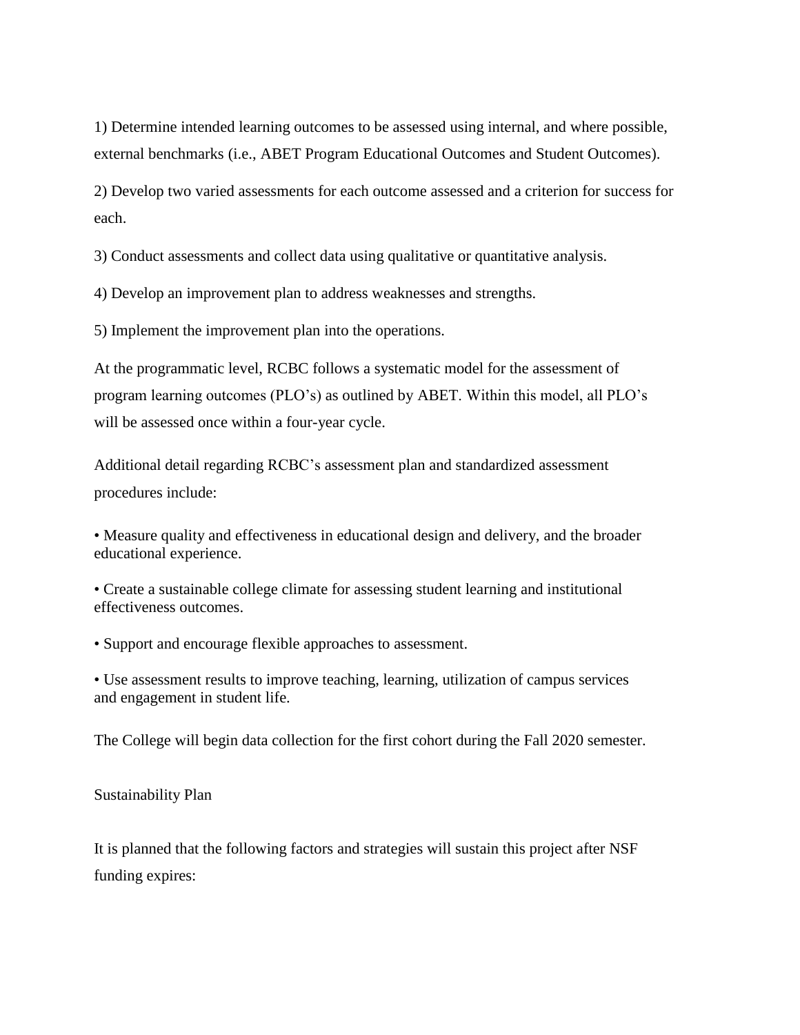1) Determine intended learning outcomes to be assessed using internal, and where possible, external benchmarks (i.e., ABET Program Educational Outcomes and Student Outcomes).

2) Develop two varied assessments for each outcome assessed and a criterion for success for each.

3) Conduct assessments and collect data using qualitative or quantitative analysis.

4) Develop an improvement plan to address weaknesses and strengths.

5) Implement the improvement plan into the operations.

At the programmatic level, RCBC follows a systematic model for the assessment of program learning outcomes (PLO's) as outlined by ABET. Within this model, all PLO's will be assessed once within a four-year cycle.

Additional detail regarding RCBC's assessment plan and standardized assessment procedures include:

• Measure quality and effectiveness in educational design and delivery, and the broader educational experience.

• Create a sustainable college climate for assessing student learning and institutional effectiveness outcomes.

• Support and encourage flexible approaches to assessment.

• Use assessment results to improve teaching, learning, utilization of campus services and engagement in student life.

The College will begin data collection for the first cohort during the Fall 2020 semester.

Sustainability Plan

It is planned that the following factors and strategies will sustain this project after NSF funding expires: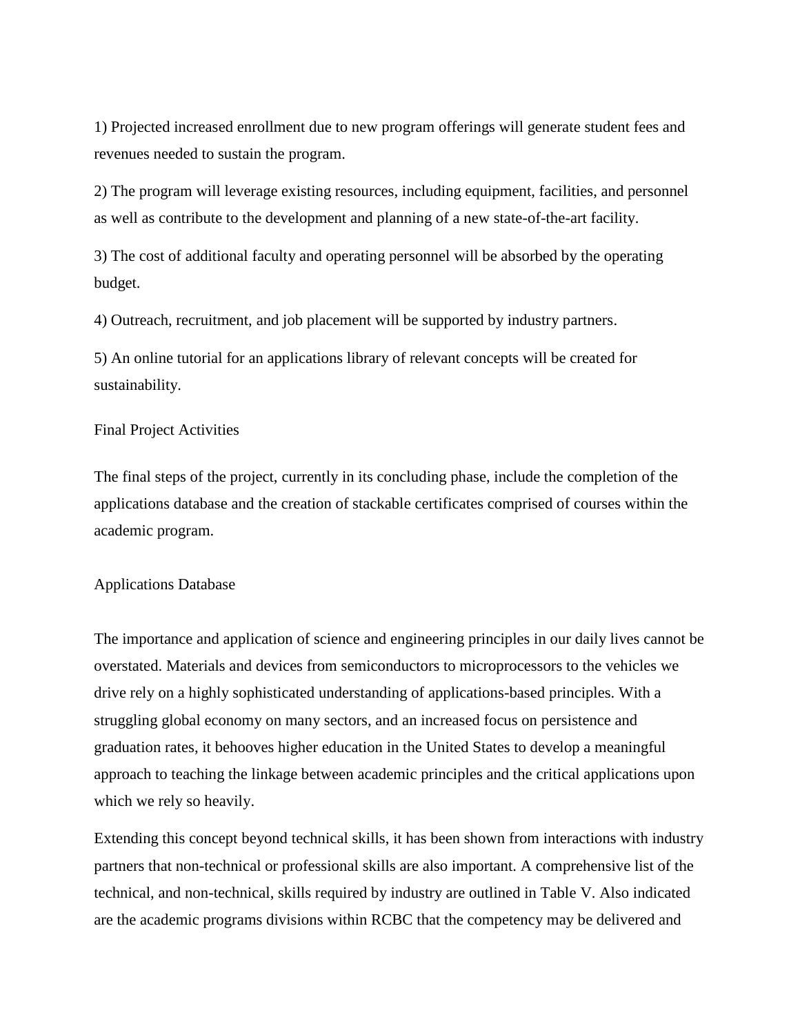1) Projected increased enrollment due to new program offerings will generate student fees and revenues needed to sustain the program.

2) The program will leverage existing resources, including equipment, facilities, and personnel as well as contribute to the development and planning of a new state-of-the-art facility.

3) The cost of additional faculty and operating personnel will be absorbed by the operating budget.

4) Outreach, recruitment, and job placement will be supported by industry partners.

5) An online tutorial for an applications library of relevant concepts will be created for sustainability.

#### Final Project Activities

The final steps of the project, currently in its concluding phase, include the completion of the applications database and the creation of stackable certificates comprised of courses within the academic program.

#### Applications Database

The importance and application of science and engineering principles in our daily lives cannot be overstated. Materials and devices from semiconductors to microprocessors to the vehicles we drive rely on a highly sophisticated understanding of applications-based principles. With a struggling global economy on many sectors, and an increased focus on persistence and graduation rates, it behooves higher education in the United States to develop a meaningful approach to teaching the linkage between academic principles and the critical applications upon which we rely so heavily.

Extending this concept beyond technical skills, it has been shown from interactions with industry partners that non-technical or professional skills are also important. A comprehensive list of the technical, and non-technical, skills required by industry are outlined in Table V. Also indicated are the academic programs divisions within RCBC that the competency may be delivered and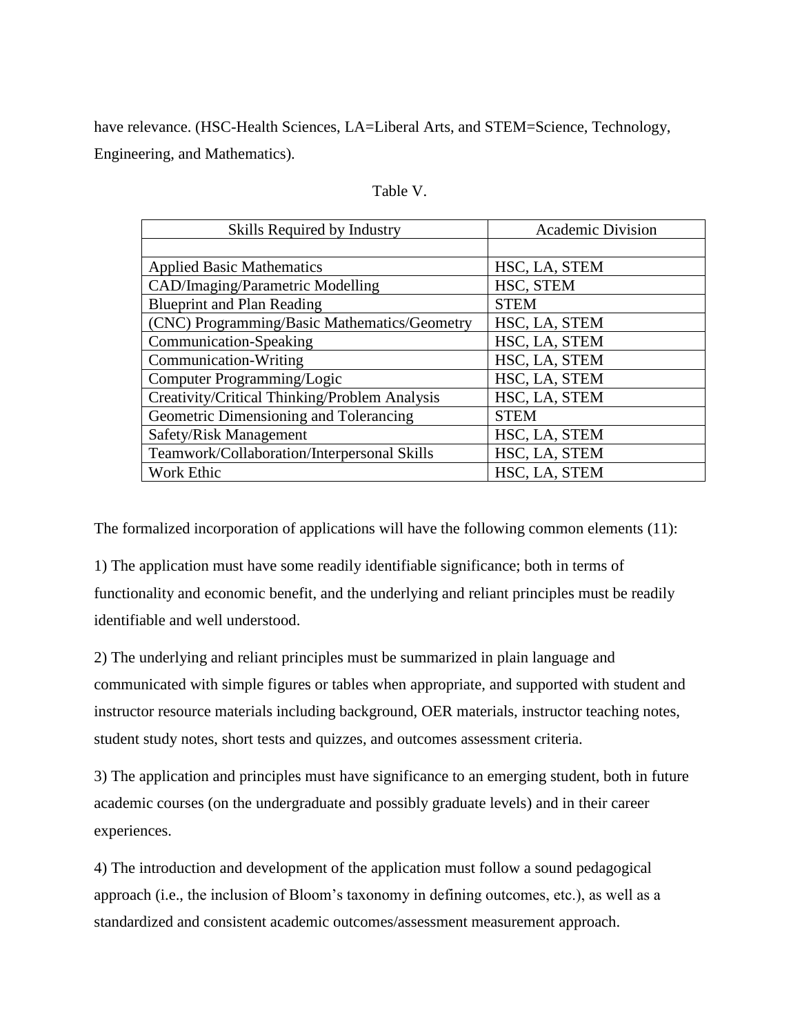have relevance. (HSC-Health Sciences, LA=Liberal Arts, and STEM=Science, Technology, Engineering, and Mathematics).

|  | Table |  |
|--|-------|--|
|--|-------|--|

| Skills Required by Industry                   | <b>Academic Division</b> |
|-----------------------------------------------|--------------------------|
|                                               |                          |
| <b>Applied Basic Mathematics</b>              | HSC, LA, STEM            |
| CAD/Imaging/Parametric Modelling              | HSC, STEM                |
| <b>Blueprint and Plan Reading</b>             | <b>STEM</b>              |
| (CNC) Programming/Basic Mathematics/Geometry  | HSC, LA, STEM            |
| Communication-Speaking                        | HSC, LA, STEM            |
| Communication-Writing                         | HSC, LA, STEM            |
| Computer Programming/Logic                    | HSC, LA, STEM            |
| Creativity/Critical Thinking/Problem Analysis | HSC, LA, STEM            |
| Geometric Dimensioning and Tolerancing        | <b>STEM</b>              |
| Safety/Risk Management                        | HSC, LA, STEM            |
| Teamwork/Collaboration/Interpersonal Skills   | HSC, LA, STEM            |
| Work Ethic                                    | HSC, LA, STEM            |

The formalized incorporation of applications will have the following common elements (11):

1) The application must have some readily identifiable significance; both in terms of functionality and economic benefit, and the underlying and reliant principles must be readily identifiable and well understood.

2) The underlying and reliant principles must be summarized in plain language and communicated with simple figures or tables when appropriate, and supported with student and instructor resource materials including background, OER materials, instructor teaching notes, student study notes, short tests and quizzes, and outcomes assessment criteria.

3) The application and principles must have significance to an emerging student, both in future academic courses (on the undergraduate and possibly graduate levels) and in their career experiences.

4) The introduction and development of the application must follow a sound pedagogical approach (i.e., the inclusion of Bloom's taxonomy in defining outcomes, etc.), as well as a standardized and consistent academic outcomes/assessment measurement approach.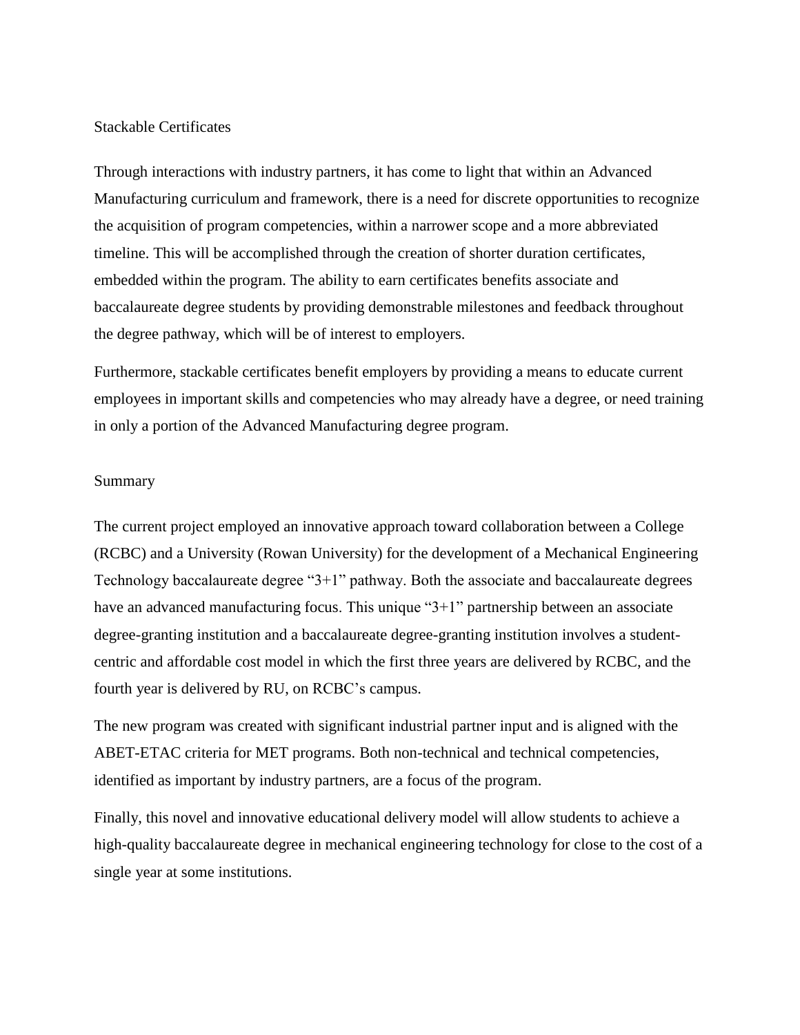#### Stackable Certificates

Through interactions with industry partners, it has come to light that within an Advanced Manufacturing curriculum and framework, there is a need for discrete opportunities to recognize the acquisition of program competencies, within a narrower scope and a more abbreviated timeline. This will be accomplished through the creation of shorter duration certificates, embedded within the program. The ability to earn certificates benefits associate and baccalaureate degree students by providing demonstrable milestones and feedback throughout the degree pathway, which will be of interest to employers.

Furthermore, stackable certificates benefit employers by providing a means to educate current employees in important skills and competencies who may already have a degree, or need training in only a portion of the Advanced Manufacturing degree program.

#### Summary

The current project employed an innovative approach toward collaboration between a College (RCBC) and a University (Rowan University) for the development of a Mechanical Engineering Technology baccalaureate degree "3+1" pathway. Both the associate and baccalaureate degrees have an advanced manufacturing focus. This unique "3+1" partnership between an associate degree-granting institution and a baccalaureate degree-granting institution involves a studentcentric and affordable cost model in which the first three years are delivered by RCBC, and the fourth year is delivered by RU, on RCBC's campus.

The new program was created with significant industrial partner input and is aligned with the ABET-ETAC criteria for MET programs. Both non-technical and technical competencies, identified as important by industry partners, are a focus of the program.

Finally, this novel and innovative educational delivery model will allow students to achieve a high-quality baccalaureate degree in mechanical engineering technology for close to the cost of a single year at some institutions.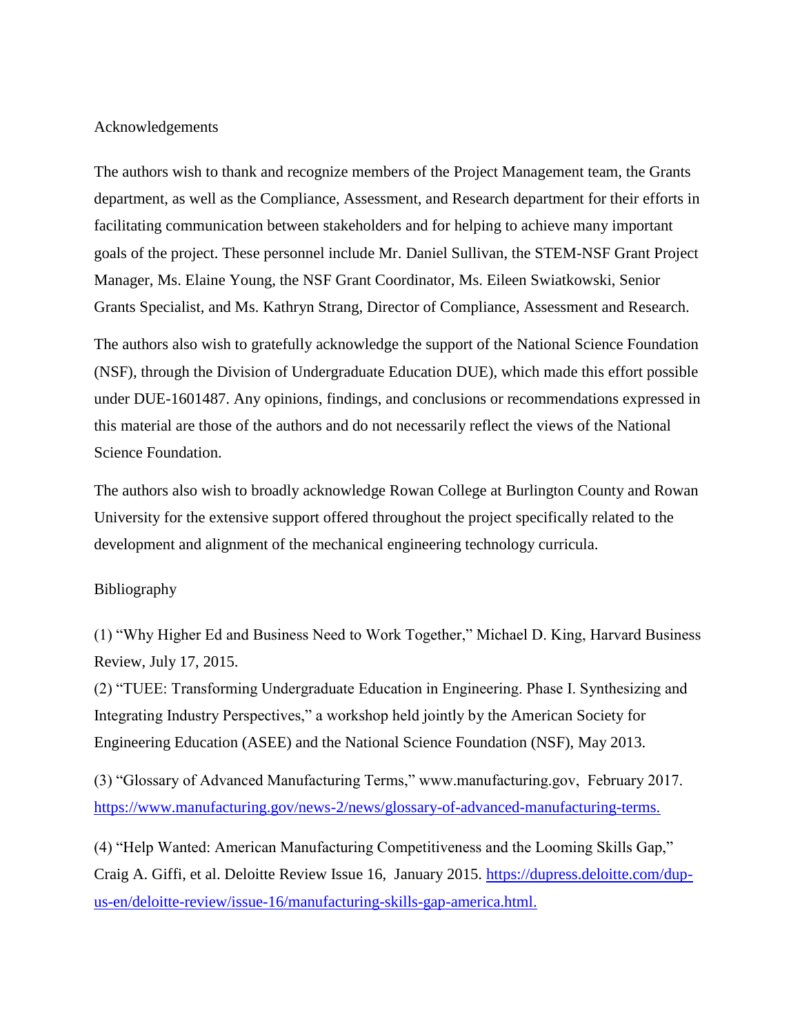#### Acknowledgements

The authors wish to thank and recognize members of the Project Management team, the Grants department, as well as the Compliance, Assessment, and Research department for their efforts in facilitating communication between stakeholders and for helping to achieve many important goals of the project. These personnel include Mr. Daniel Sullivan, the STEM-NSF Grant Project Manager, Ms. Elaine Young, the NSF Grant Coordinator, Ms. Eileen Swiatkowski, Senior Grants Specialist, and Ms. Kathryn Strang, Director of Compliance, Assessment and Research.

The authors also wish to gratefully acknowledge the support of the National Science Foundation (NSF), through the Division of Undergraduate Education DUE), which made this effort possible under DUE-1601487. Any opinions, findings, and conclusions or recommendations expressed in this material are those of the authors and do not necessarily reflect the views of the National Science Foundation.

The authors also wish to broadly acknowledge Rowan College at Burlington County and Rowan University for the extensive support offered throughout the project specifically related to the development and alignment of the mechanical engineering technology curricula.

#### Bibliography

(1) "Why Higher Ed and Business Need to Work Together," Michael D. King, Harvard Business Review, July 17, 2015.

(2) "TUEE: Transforming Undergraduate Education in Engineering. Phase I. Synthesizing and Integrating Industry Perspectives," a workshop held jointly by the American Society for Engineering Education (ASEE) and the National Science Foundation (NSF), May 2013.

(3) "Glossary of Advanced Manufacturing Terms," www.manufacturing.gov, February 2017. https://www.manufacturing.gov/news-2/news/glossary-of-advanced-manufacturing-terms.

(4) "Help Wanted: American Manufacturing Competitiveness and the Looming Skills Gap," Craig A. Giffi, et al. Deloitte Review Issue 16, January 2015. [https://dupress.deloitte.com/dup](https://dupress.deloitte.com/dup-us-en/deloitte-review/issue-16/manufacturing-skills-gap-america.html)[us-en/deloitte-review/issue-16/manufacturing-skills-gap-america.html.](https://dupress.deloitte.com/dup-us-en/deloitte-review/issue-16/manufacturing-skills-gap-america.html)